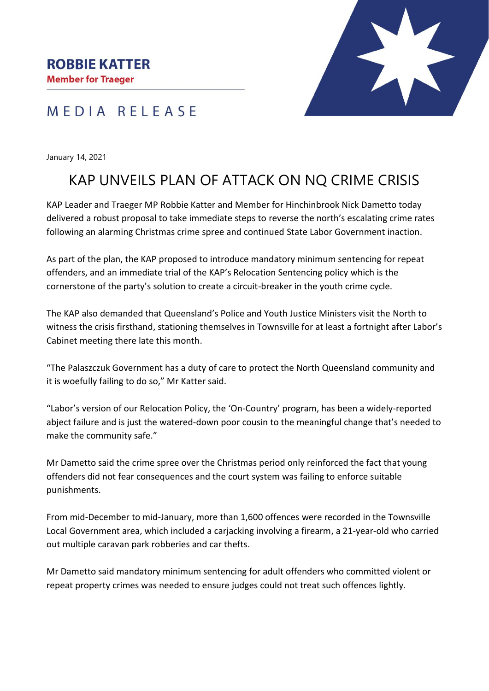## MEDIA RELEASE

January 14, 2021

# KAP UNVEILS PLAN OF ATTACK ON NQ CRIME CRISIS

KAP Leader and Traeger MP Robbie Katter and Member for Hinchinbrook Nick Dametto today delivered a robust proposal to take immediate steps to reverse the north's escalating crime rates following an alarming Christmas crime spree and continued State Labor Government inaction.

As part of the plan, the KAP proposed to introduce mandatory minimum sentencing for repeat offenders, and an immediate trial of the KAP's Relocation Sentencing policy which is the cornerstone of the party's solution to create a circuit-breaker in the youth crime cycle.

The KAP also demanded that Queensland's Police and Youth Justice Ministers visit the North to witness the crisis firsthand, stationing themselves in Townsville for at least a fortnight after Labor's Cabinet meeting there late this month.

"The Palaszczuk Government has a duty of care to protect the North Queensland community and it is woefully failing to do so," Mr Katter said.

"Labor's version of our Relocation Policy, the 'On-Country' program, has been a widely-reported abject failure and is just the watered-down poor cousin to the meaningful change that's needed to make the community safe."

Mr Dametto said the crime spree over the Christmas period only reinforced the fact that young offenders did not fear consequences and the court system was failing to enforce suitable punishments.

From mid-December to mid-January, more than 1,600 offences were recorded in the Townsville Local Government area, which included a carjacking involving a firearm, a 21-year-old who carried out multiple caravan park robberies and car thefts.

Mr Dametto said mandatory minimum sentencing for adult offenders who committed violent or repeat property crimes was needed to ensure judges could not treat such offences lightly.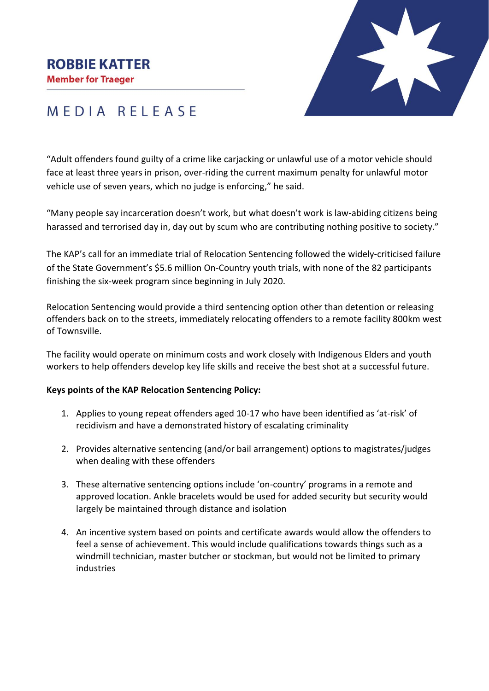#### **ROBBIE KATTER**

**Member for Traeger** 



# MEDIA RELEASE

"Adult offenders found guilty of a crime like carjacking or unlawful use of a motor vehicle should face at least three years in prison, over-riding the current maximum penalty for unlawful motor vehicle use of seven years, which no judge is enforcing," he said.

"Many people say incarceration doesn't work, but what doesn't work is law-abiding citizens being harassed and terrorised day in, day out by scum who are contributing nothing positive to society."

The KAP's call for an immediate trial of Relocation Sentencing followed the widely-criticised failure of the State Government's \$5.6 million On-Country youth trials, with none of the 82 participants finishing the six-week program since beginning in July 2020.

Relocation Sentencing would provide a third sentencing option other than detention or releasing offenders back on to the streets, immediately relocating offenders to a remote facility 800km west of Townsville.

The facility would operate on minimum costs and work closely with Indigenous Elders and youth workers to help offenders develop key life skills and receive the best shot at a successful future.

#### **Keys points of the KAP Relocation Sentencing Policy:**

- 1. Applies to young repeat offenders aged 10-17 who have been identified as 'at-risk' of recidivism and have a demonstrated history of escalating criminality
- 2. Provides alternative sentencing (and/or bail arrangement) options to magistrates/judges when dealing with these offenders
- 3. These alternative sentencing options include 'on-country' programs in a remote and approved location. Ankle bracelets would be used for added security but security would largely be maintained through distance and isolation
- 4. An incentive system based on points and certificate awards would allow the offenders to feel a sense of achievement. This would include qualifications towards things such as a windmill technician, master butcher or stockman, but would not be limited to primary industries